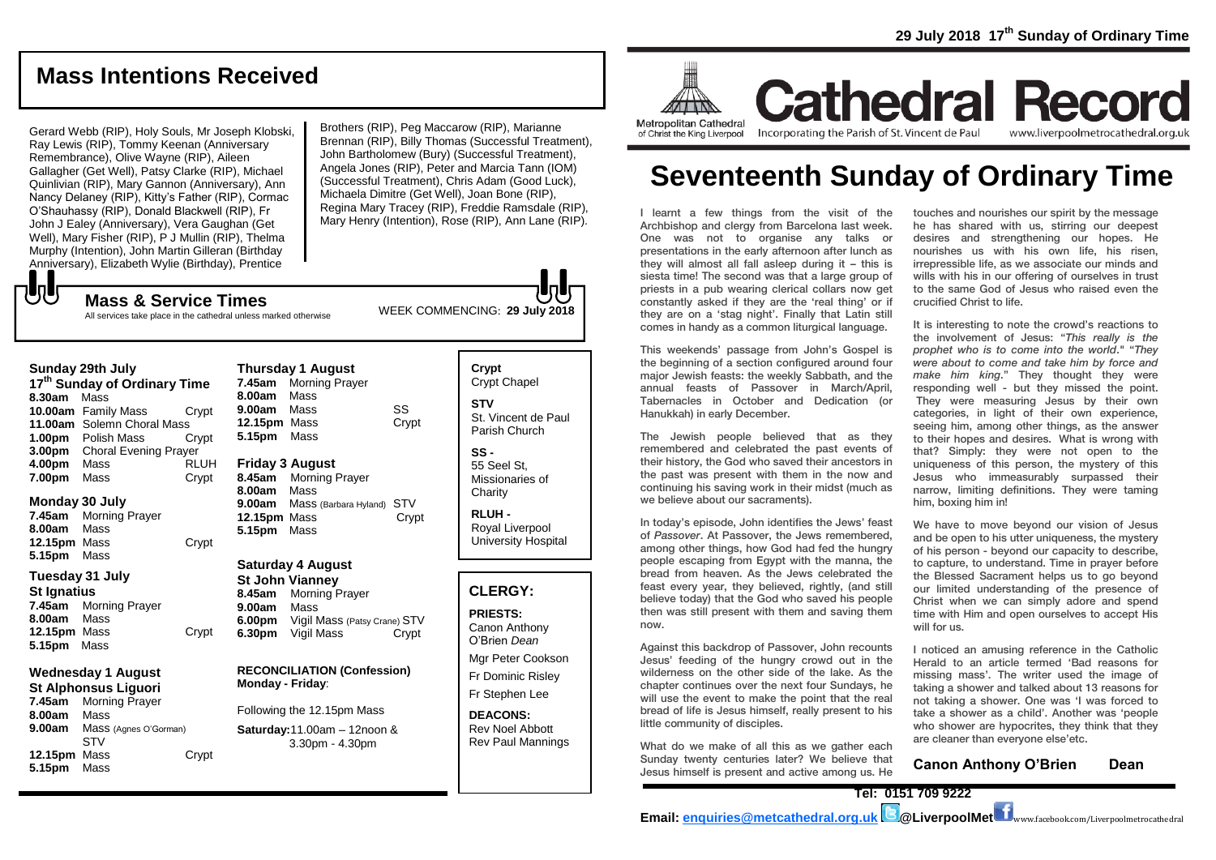## **Mass Intentions Received**

Gerard Webb (RIP), Holy Souls, Mr Joseph Klobski, Ray Lewis (RIP), Tommy Keenan (Anniversary Remembrance), Olive Wayne (RIP), Aileen Gallagher (Get Well), Patsy Clarke (RIP), Michael Quinlivian (RIP), Mary Gannon (Anniversary), Ann Nancy Delaney (RIP), Kitty's Father (RIP), Cormac O'Shauhassy (RIP), Donald Blackwell (RIP), Fr John J Ealey (Anniversary), Vera Gaughan (Get Well), Mary Fisher (RIP), P J Mullin (RIP), Thelma Murphy (Intention), John Martin Gilleran (Birthday Anniversary), Elizabeth Wylie (Birthday), Prentice

Brothers (RIP), Peg Maccarow (RIP), Marianne Brennan (RIP), Billy Thomas (Successful Treatment), John Bartholomew (Bury) (Successful Treatment), Angela Jones (RIP), Peter and Marcia Tann (IOM) (Successful Treatment), Chris Adam (Good Luck), Michaela Dimitre (Get Well), Joan Bone (RIP), Regina Mary Tracey (RIP), Freddie Ramsdale (RIP), Mary Henry (Intention), Rose (RIP), Ann Lane (RIP).

WEEK COMMENCING: **29 July 2018 Mass & Service Times** All services take place in the cathedral unless marked otherwise

#### **Sunday 29th July**

**UU** 

**17th Sunday of Ordinary Time 8.30am** Mass **10.00am** Family Mass Crypt **11.00am** Solemn Choral Mass **1.00pm** Polish Mass Crypt **3.00pm** Choral Evening Prayer **4.00pm** Mass RLUH **7.00pm** Mass Crypt

#### **Monday 30 July**

**7.45am** Morning Prayer **8.00am** Mass **12.15pm** Mass Crypt **5.15pm** Mass

### **Tuesday 31 July**

**St Ignatius 7.45am** Morning Prayer **8.00am** Mass **12.15pm** Mass **Crypt 5.15pm** Mass

#### **Wednesday 1 August St Alphonsus Liguori**

**7.45am** Morning Prayer **8.00am** Mass **9.00am** Mass (Agnes O'Gorman) STV **12.15pm** Mass Crypt **5.15pm** Mass

## **Thursday 1 August 7.45am** Morning Prayer **8.00am** Mass **9.00am** Mass SS **12.15pm** Mass Crypt **5.15pm** Mass

**Friday 3 August 8.45am** Morning Prayer **8.00am** Mass **9.00am** Mass (Barbara Hyland) STV **12.15pm** Mass Crypt **5.15pm** Mass

## **Saturday 4 August**

**St John Vianney 8.45am** Morning Prayer **9.00am** Mass **6.00pm** Vigil Mass (Patsy Crane) STV **6.30pm** Vigil Mass Crypt

### **RECONCILIATION (Confession) Monday - Friday**:

Following the 12.15pm Mass

### **Saturday:**11.00am – 12noon & 3.30pm - 4.30pm

**Crypt**  Crypt Chapel **STV** St. Vincent de Paul Parish Church **SS -** 55 Seel St, Missionaries of

> **Charity RLUH -** Royal Liverpool University Hospital

## **CLERGY:**

**PRIESTS:** Canon Anthony O'Brien *Dean* Mgr Peter Cookson

Fr Dominic Risley Fr Stephen Lee

**DEACONS:** Rev Noel Abbott Rev Paul Mannings



**Cathedral Record** Incorporating the Parish of St. Vincent de Paul www.liverpoolmetrocathedral.org.uk

# **Seventeenth Sunday of Ordinary Time**

I learnt a few things from the visit of the Archbishop and clergy from Barcelona last week. One was not to organise any talks or presentations in the early afternoon after lunch as they will almost all fall asleep during it – this is siesta time! The second was that a large group of priests in a pub wearing clerical collars now get constantly asked if they are the 'real thing' or if they are on a 'stag night'. Finally that Latin still comes in handy as a common liturgical language.

This weekends' passage from John's Gospel is the beginning of a section configured around four major Jewish feasts: the weekly Sabbath, and the annual feasts of Passover in March/April, Tabernacles in October and Dedication (or Hanukkah) in early December.

The Jewish people believed that as they remembered and celebrated the past events of their history, the God who saved their ancestors in the past was present with them in the now and continuing his saving work in their midst (much as we believe about our sacraments).

In today's episode, John identifies the Jews' feast of *Passover*. At Passover, the Jews remembered, among other things, how God had fed the hungry people escaping from Egypt with the manna, the bread from heaven. As the Jews celebrated the feast every year, they believed, rightly, (and still believe today) that the God who saved his people then was still present with them and saving them now.

Against this backdrop of Passover, John recounts Jesus' feeding of the hungry crowd out in the wilderness on the other side of the lake. As the chapter continues over the next four Sundays, he will use the event to make the point that the real bread of life is Jesus himself, really present to his little community of disciples.

What do we make of all this as we gather each Sunday twenty centuries later? We believe that Jesus himself is present and active among us. He touches and nourishes our spirit by the message he has shared with us, stirring our deepest desires and strengthening our hopes. He nourishes us with his own life, his risen, irrepressible life, as we associate our minds and wills with his in our offering of ourselves in trust to the same God of Jesus who raised even the crucified Christ to life.

It is interesting to note the crowd's reactions to the involvement of Jesus: "*This really is the prophet who is to come into the world*." "*They were about to come and take him by force and make him king*." They thought they were responding well - but they missed the point. They were measuring Jesus by their own categories, in light of their own experience, seeing him, among other things, as the answer to their hopes and desires. What is wrong with that? Simply: they were not open to the uniqueness of this person, the mystery of this Jesus who immeasurably surpassed their narrow, limiting definitions. They were taming him, boxing him in!

We have to move beyond our vision of Jesus and be open to his utter uniqueness, the mystery of his person - beyond our capacity to describe, to capture, to understand. Time in prayer before the Blessed Sacrament helps us to go beyond our limited understanding of the presence of Christ when we can simply adore and spend time with Him and open ourselves to accept His will for us.

I noticed an amusing reference in the Catholic Herald to an article termed 'Bad reasons for missing mass'. The writer used the image of taking a shower and talked about 13 reasons for not taking a shower. One was 'I was forced to take a shower as a child'. Another was 'people who shower are hypocrites, they think that they are cleaner than everyone else'etc.

**Canon Anthony O'Brien Dean**

**Tel: 0151 709 9222 Email: [enquiries@metcathedral.org.uk](mailto:enquiries@metcathedral.org.uk) @LiverpoolMet** www.facebook.com/Liverpoolmetrocathedral